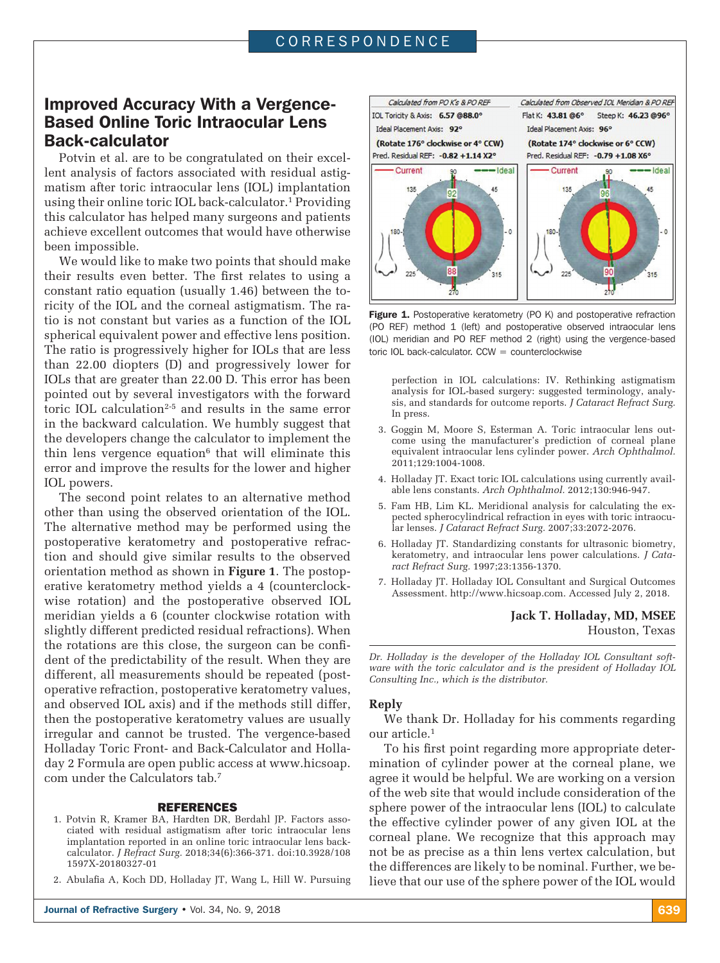# Improved Accuracy With a Vergence-Based Online Toric Intraocular Lens Back-calculator

Potvin et al. are to be congratulated on their excellent analysis of factors associated with residual astigmatism after toric intraocular lens (IOL) implantation using their online toric IOL back-calculator.1 Providing this calculator has helped many surgeons and patients achieve excellent outcomes that would have otherwise been impossible.

We would like to make two points that should make their results even better. The first relates to using a constant ratio equation (usually 1.46) between the toricity of the IOL and the corneal astigmatism. The ratio is not constant but varies as a function of the IOL spherical equivalent power and effective lens position. The ratio is progressively higher for IOLs that are less than 22.00 diopters (D) and progressively lower for IOLs that are greater than 22.00 D. This error has been pointed out by several investigators with the forward toric IOL calculation<sup>2-5</sup> and results in the same error in the backward calculation. We humbly suggest that the developers change the calculator to implement the thin lens vergence equation $6$  that will eliminate this error and improve the results for the lower and higher IOL powers.

The second point relates to an alternative method other than using the observed orientation of the IOL. The alternative method may be performed using the postoperative keratometry and postoperative refraction and should give similar results to the observed orientation method as shown in **Figure 1**. The postoperative keratometry method yields a 4 (counterclockwise rotation) and the postoperative observed IOL meridian yields a 6 (counter clockwise rotation with slightly different predicted residual refractions). When the rotations are this close, the surgeon can be confident of the predictability of the result. When they are different, all measurements should be repeated (postoperative refraction, postoperative keratometry values, and observed IOL axis) and if the methods still differ, then the postoperative keratometry values are usually irregular and cannot be trusted. The vergence-based Holladay Toric Front- and Back-Calculator and Holladay 2 Formula are open public access at www.hicsoap. com under the Calculators tab.7

### REFERENCES

- 1. Potvin R, Kramer BA, Hardten DR, Berdahl JP. Factors associated with residual astigmatism after toric intraocular lens implantation reported in an online toric intraocular lens backcalculator. *J Refract Surg.* 2018;34(6):366-371. doi:10.3928/108 1597X-20180327-01
- 2. Abulafia A, Koch DD, Holladay JT, Wang L, Hill W. Pursuing



Figure 1. Postoperative keratometry (PO K) and postoperative refraction (PO REF) method 1 (left) and postoperative observed intraocular lens (IOL) meridian and PO REF method 2 (right) using the vergence-based toric IOL back-calculator.  $CCW = counterclockwise$ 

perfection in IOL calculations: IV. Rethinking astigmatism analysis for IOL-based surgery: suggested terminology, analysis, and standards for outcome reports. *J Cataract Refract Surg.*  In press.

- 3. Goggin M, Moore S, Esterman A. Toric intraocular lens outcome using the manufacturer's prediction of corneal plane equivalent intraocular lens cylinder power. *Arch Ophthalmol.* 2011;129:1004-1008.
- 4. Holladay JT. Exact toric IOL calculations using currently available lens constants. *Arch Ophthalmol.* 2012;130:946-947.
- 5. Fam HB, Lim KL. Meridional analysis for calculating the expected spherocylindrical refraction in eyes with toric intraocular lenses. *J Cataract Refract Surg.* 2007;33:2072-2076.
- 6. Holladay JT. Standardizing constants for ultrasonic biometry, keratometry, and intraocular lens power calculations. *J Cataract Refract Surg.* 1997;23:1356-1370.
- 7. Holladay JT. Holladay IOL Consultant and Surgical Outcomes Assessment. http://www.hicsoap.com. Accessed July 2, 2018.

# **Jack T. Holladay, MD, MSEE** Houston, Texas

*Dr. Holladay is the developer of the Holladay IOL Consultant software with the toric calculator and is the president of Holladay IOL Consulting Inc., which is the distributor.*

#### **Reply**

We thank Dr. Holladay for his comments regarding our article.1

To his first point regarding more appropriate determination of cylinder power at the corneal plane, we agree it would be helpful. We are working on a version of the web site that would include consideration of the sphere power of the intraocular lens (IOL) to calculate the effective cylinder power of any given IOL at the corneal plane. We recognize that this approach may not be as precise as a thin lens vertex calculation, but the differences are likely to be nominal. Further, we believe that our use of the sphere power of the IOL would